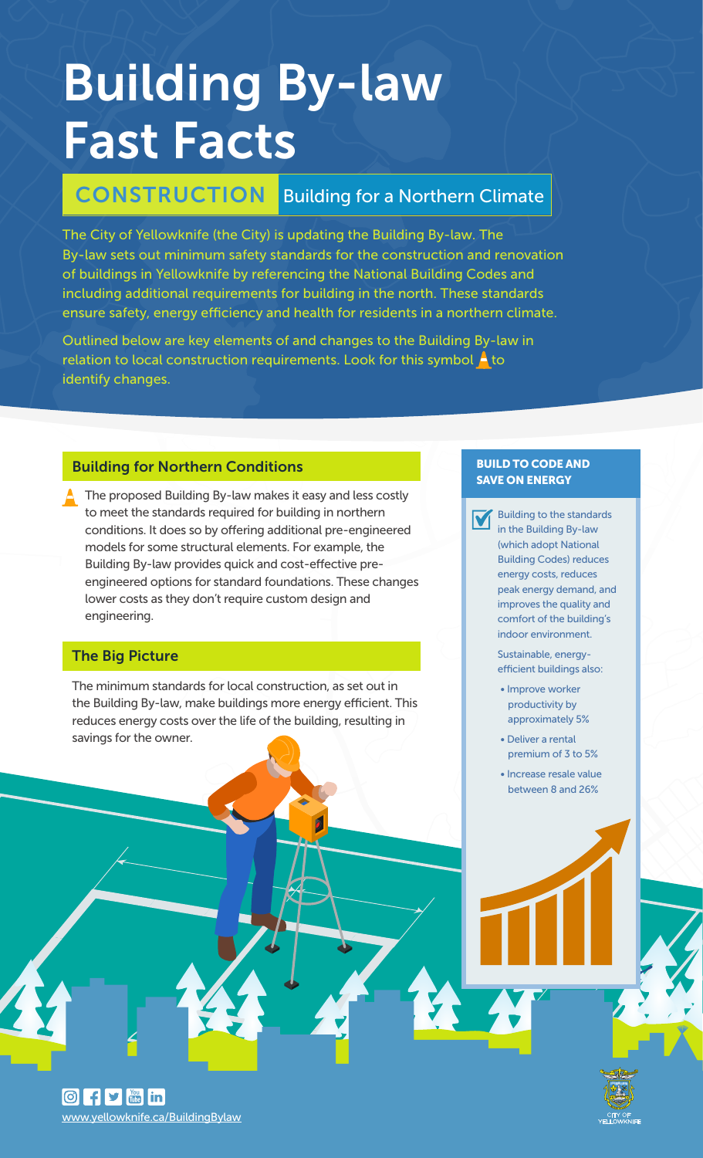# Building By-law Fast Facts

# CONSTRUCTION Building for a Northern Climate

The City of Yellowknife (the City) is updating the Building By-law. The By-law sets out minimum safety standards for the construction and renovation of buildings in Yellowknife by referencing the National Building Codes and including additional requirements for building in the north. These standards ensure safety, energy efficiency and health for residents in a northern climate.

Outlined below are key elements of and changes to the Building By-law in relation to local construction requirements. Look for this symbol  $\blacktriangle$  to identify changes.

### Building for Northern Conditions

The proposed Building By-law makes it easy and less costly to meet the standards required for building in northern conditions. It does so by offering additional pre-engineered models for some structural elements. For example, the Building By-law provides quick and cost-effective preengineered options for standard foundations. These changes lower costs as they don't require custom design and engineering.

# The Big Picture

www.yellowknife.ca/BuildingBylaw

 $\boxed{\odot}$  f  $\blacktriangleright$   $\boxed{\cdots}$  in

The minimum standards for local construction, as set out in the Building By-law, make buildings more energy efficient. This reduces energy costs over the life of the building, resulting in savings for the owner.

#### BUILD TO CODE AND SAVE ON ENERGY

Building to the standards in the Building By-law (which adopt National Building Codes) reduces energy costs, reduces peak energy demand, and improves the quality and comfort of the building's indoor environment.

Sustainable, energyefficient buildings also:

- Improve worker productivity by approximately 5%
- Deliver a rental premium of 3 to 5%
- Increase resale value between 8 and 26%